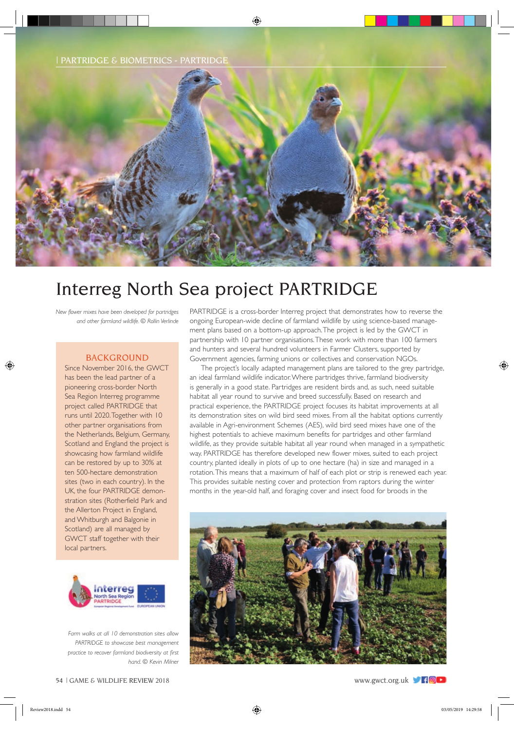| PARTRIDGE & BIOMETRICS - PARTRIDGE



# Interreg North Sea project PARTRIDGE

*New flower mixes have been developed for partridges and other farmland wildlife. © Rollin Verlinde*

## BACKGROUND

Since November 2016, the GWCT has been the lead partner of a pioneering cross-border North Sea Region Interreg programme project called PARTRIDGE that runs until 2020. Together with 10 other partner organisations from the Netherlands, Belgium, Germany, Scotland and England the project is showcasing how farmland wildlife can be restored by up to 30% at ten 500-hectare demonstration sites (two in each country). In the UK, the four PARTRIDGE demonstration sites (Rotherfield Park and the Allerton Project in England, and Whitburgh and Balgonie in Scotland) are all managed by GWCT staff together with their local partners.



*Farm walks at all 10 demonstration sites allow PARTRIDGE to showcase best management practice to recover farmland biodiversity at first hand. © Kevin Milner*

PARTRIDGE is a cross-border Interreg project that demonstrates how to reverse the ongoing European-wide decline of farmland wildlife by using science-based management plans based on a bottom-up approach. The project is led by the GWCT in partnership with 10 partner organisations. These work with more than 100 farmers and hunters and several hundred volunteers in Farmer Clusters, supported by Government agencies, farming unions or collectives and conservation NGOs.

The project's locally adapted management plans are tailored to the grey partridge, an ideal farmland wildlife indicator. Where partridges thrive, farmland biodiversity is generally in a good state. Partridges are resident birds and, as such, need suitable habitat all year round to survive and breed successfully. Based on research and practical experience, the PARTRIDGE project focuses its habitat improvements at all its demonstration sites on wild bird seed mixes. From all the habitat options currently available in Agri-environment Schemes (AES), wild bird seed mixes have one of the highest potentials to achieve maximum benefits for partridges and other farmland wildlife, as they provide suitable habitat all year round when managed in a sympathetic way. PARTRIDGE has therefore developed new flower mixes, suited to each project country, planted ideally in plots of up to one hectare (ha) in size and managed in a rotation. This means that a maximum of half of each plot or strip is renewed each year. This provides suitable nesting cover and protection from raptors during the winter months in the year-old half, and foraging cover and insect food for broods in the